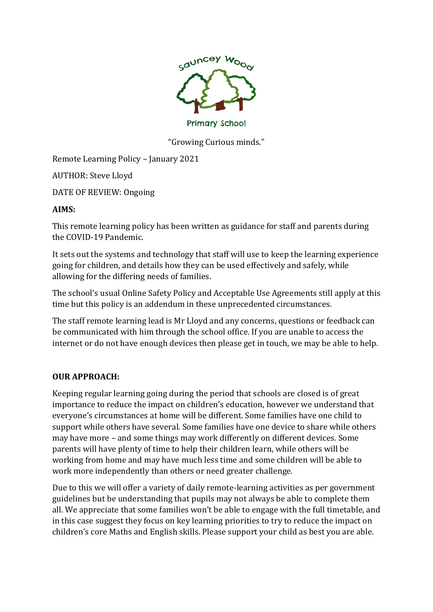

"Growing Curious minds."

Remote Learning Policy – January 2021

AUTHOR: Steve Lloyd

DATE OF REVIEW: Ongoing

#### **AIMS:**

This remote learning policy has been written as guidance for staff and parents during the COVID-19 Pandemic.

It sets out the systems and technology that staff will use to keep the learning experience going for children, and details how they can be used effectively and safely, while allowing for the differing needs of families.

The school's usual Online Safety Policy and Acceptable Use Agreements still apply at this time but this policy is an addendum in these unprecedented circumstances.

The staff remote learning lead is Mr Lloyd and any concerns, questions or feedback can be communicated with him through the school office. If you are unable to access the internet or do not have enough devices then please get in touch, we may be able to help.

## **OUR APPROACH:**

Keeping regular learning going during the period that schools are closed is of great importance to reduce the impact on children's education, however we understand that everyone's circumstances at home will be different. Some families have one child to support while others have several. Some families have one device to share while others may have more – and some things may work differently on different devices. Some parents will have plenty of time to help their children learn, while others will be working from home and may have much less time and some children will be able to work more independently than others or need greater challenge.

Due to this we will offer a variety of daily remote-learning activities as per government guidelines but be understanding that pupils may not always be able to complete them all. We appreciate that some families won't be able to engage with the full timetable, and in this case suggest they focus on key learning priorities to try to reduce the impact on children's core Maths and English skills. Please support your child as best you are able.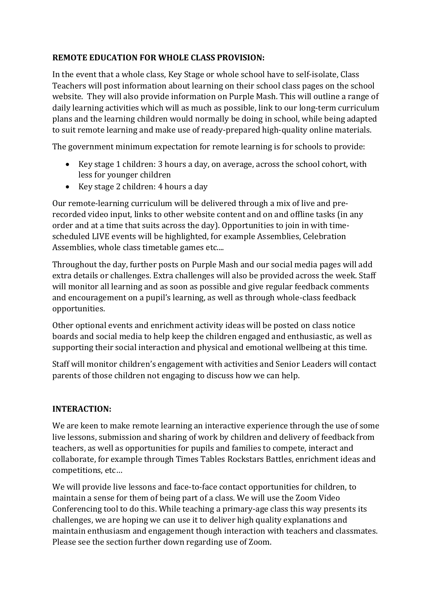## **REMOTE EDUCATION FOR WHOLE CLASS PROVISION:**

In the event that a whole class, Key Stage or whole school have to self-isolate, Class Teachers will post information about learning on their school class pages on the school website. They will also provide information on Purple Mash. This will outline a range of daily learning activities which will as much as possible, link to our long-term curriculum plans and the learning children would normally be doing in school, while being adapted to suit remote learning and make use of ready-prepared high-quality online materials.

The government minimum expectation for remote learning is for schools to provide:

- Key stage 1 children: 3 hours a day, on average, across the school cohort, with less for younger children
- Key stage 2 children: 4 hours a day

Our remote-learning curriculum will be delivered through a mix of live and prerecorded video input, links to other website content and on and offline tasks (in any order and at a time that suits across the day). Opportunities to join in with timescheduled LIVE events will be highlighted, for example Assemblies, Celebration Assemblies, whole class timetable games etc....

Throughout the day, further posts on Purple Mash and our social media pages will add extra details or challenges. Extra challenges will also be provided across the week. Staff will monitor all learning and as soon as possible and give regular feedback comments and encouragement on a pupil's learning, as well as through whole-class feedback opportunities.

Other optional events and enrichment activity ideas will be posted on class notice boards and social media to help keep the children engaged and enthusiastic, as well as supporting their social interaction and physical and emotional wellbeing at this time.

Staff will monitor children's engagement with activities and Senior Leaders will contact parents of those children not engaging to discuss how we can help.

## **INTERACTION:**

We are keen to make remote learning an interactive experience through the use of some live lessons, submission and sharing of work by children and delivery of feedback from teachers, as well as opportunities for pupils and families to compete, interact and collaborate, for example through Times Tables Rockstars Battles, enrichment ideas and competitions, etc…

We will provide live lessons and face-to-face contact opportunities for children, to maintain a sense for them of being part of a class. We will use the Zoom Video Conferencing tool to do this. While teaching a primary-age class this way presents its challenges, we are hoping we can use it to deliver high quality explanations and maintain enthusiasm and engagement though interaction with teachers and classmates. Please see the section further down regarding use of Zoom.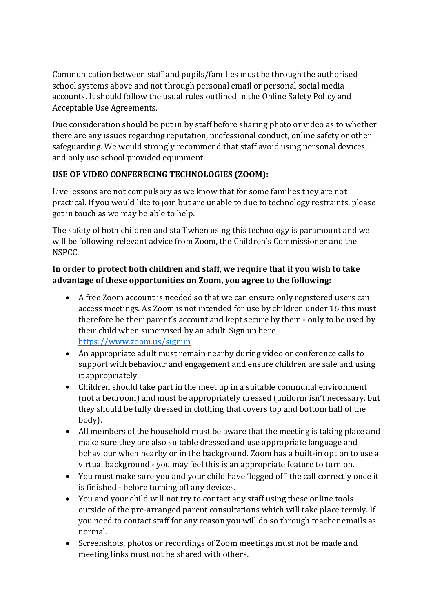Communication between staff and pupils/families must be through the authorised school systems above and not through personal email or personal social media accounts. It should follow the usual rules outlined in the Online Safety Policy and Acceptable Use Agreements.

Due consideration should be put in by staff before sharing photo or video as to whether there are any issues regarding reputation, professional conduct, online safety or other safeguarding. We would strongly recommend that staff avoid using personal devices and only use school provided equipment.

# **USE OF VIDEO CONFERECING TECHNOLOGIES (ZOOM):**

Live lessons are not compulsory as we know that for some families they are not practical. If you would like to join but are unable to due to technology restraints, please get in touch as we may be able to help.

The safety of both children and staff when using this technology is paramount and we will be following relevant advice from Zoom, the Children's Commissioner and the NSPCC.

## **In order to protect both children and staff, we require that if you wish to take advantage of these opportunities on Zoom, you agree to the following:**

- A free Zoom account is needed so that we can ensure only registered users can access meetings. As Zoom is not intended for use by children under 16 this must therefore be their parent's account and kept secure by them - only to be used by their child when supervised by an adult. Sign up here <https://www.zoom.us/signup>
- An appropriate adult must remain nearby during video or conference calls to support with behaviour and engagement and ensure children are safe and using it appropriately.
- Children should take part in the meet up in a suitable communal environment (not a bedroom) and must be appropriately dressed (uniform isn't necessary, but they should be fully dressed in clothing that covers top and bottom half of the body).
- All members of the household must be aware that the meeting is taking place and make sure they are also suitable dressed and use appropriate language and behaviour when nearby or in the background. Zoom has a built-in option to use a virtual background - you may feel this is an appropriate feature to turn on.
- You must make sure you and your child have 'logged off' the call correctly once it is finished - before turning off any devices.
- You and your child will not try to contact any staff using these online tools outside of the pre-arranged parent consultations which will take place termly. If you need to contact staff for any reason you will do so through teacher emails as normal.
- Screenshots, photos or recordings of Zoom meetings must not be made and meeting links must not be shared with others.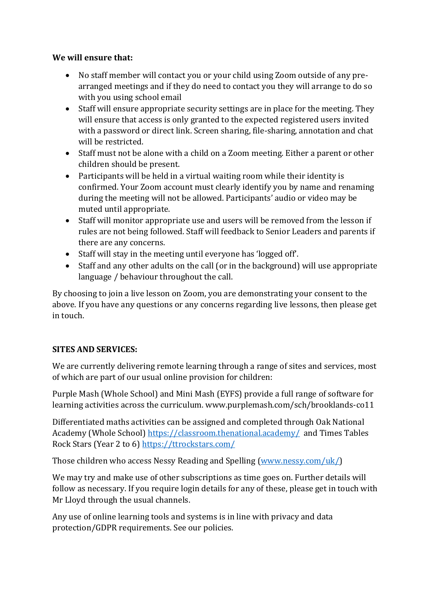### **We will ensure that:**

- No staff member will contact you or your child using Zoom outside of any prearranged meetings and if they do need to contact you they will arrange to do so with you using school email
- Staff will ensure appropriate security settings are in place for the meeting. They will ensure that access is only granted to the expected registered users invited with a password or direct link. Screen sharing, file-sharing, annotation and chat will be restricted.
- Staff must not be alone with a child on a Zoom meeting. Either a parent or other children should be present.
- Participants will be held in a virtual waiting room while their identity is confirmed. Your Zoom account must clearly identify you by name and renaming during the meeting will not be allowed. Participants' audio or video may be muted until appropriate.
- Staff will monitor appropriate use and users will be removed from the lesson if rules are not being followed. Staff will feedback to Senior Leaders and parents if there are any concerns.
- Staff will stay in the meeting until everyone has 'logged off'.
- Staff and any other adults on the call (or in the background) will use appropriate language / behaviour throughout the call.

By choosing to join a live lesson on Zoom, you are demonstrating your consent to the above. If you have any questions or any concerns regarding live lessons, then please get in touch.

## **SITES AND SERVICES:**

We are currently delivering remote learning through a range of sites and services, most of which are part of our usual online provision for children:

Purple Mash (Whole School) and Mini Mash (EYFS) provide a full range of software for learning activities across the curriculum. www.purplemash.com/sch/brooklands-co11

Differentiated maths activities can be assigned and completed through Oak National Academy (Whole School)<https://classroom.thenational.academy/>and Times Tables Rock Stars (Year 2 to 6)<https://ttrockstars.com/>

Those children who access Nessy Reading and Spelling [\(www.nessy.com/uk/\)](http://www.nessy.com/uk/)

We may try and make use of other subscriptions as time goes on. Further details will follow as necessary. If you require login details for any of these, please get in touch with Mr Lloyd through the usual channels.

Any use of online learning tools and systems is in line with privacy and data protection/GDPR requirements. See our policies.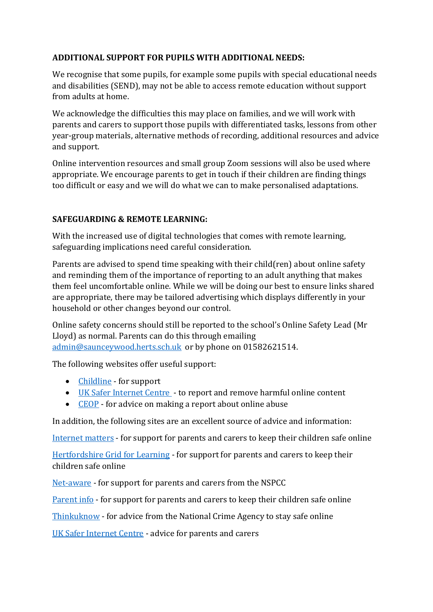## **ADDITIONAL SUPPORT FOR PUPILS WITH ADDITIONAL NEEDS:**

We recognise that some pupils, for example some pupils with special educational needs and disabilities (SEND), may not be able to access remote education without support from adults at home.

We acknowledge the difficulties this may place on families, and we will work with parents and carers to support those pupils with differentiated tasks, lessons from other year-group materials, alternative methods of recording, additional resources and advice and support.

Online intervention resources and small group Zoom sessions will also be used where appropriate. We encourage parents to get in touch if their children are finding things too difficult or easy and we will do what we can to make personalised adaptations.

## **SAFEGUARDING & REMOTE LEARNING:**

With the increased use of digital technologies that comes with remote learning, safeguarding implications need careful consideration.

Parents are advised to spend time speaking with their child(ren) about online safety and reminding them of the importance of reporting to an adult anything that makes them feel uncomfortable online. While we will be doing our best to ensure links shared are appropriate, there may be tailored advertising which displays differently in your household or other changes beyond our control.

Online safety concerns should still be reported to the school's Online Safety Lead (Mr Lloyd) as normal. Parents can do this through emailing [admin@saunceywood.herts.sch.uk](mailto:admin@saunceywood.herts.sch.uk) or by phone on 01582621514.

The following websites offer useful support:

- [Childline](https://www.childline.org.uk/) for support
- [UK Safer Internet Centre](https://www.saferinternet.org.uk/)  to report and remove harmful online content
- [CEOP](https://www.ceop.police.uk/safety-centre/) for advice on making a report about online abuse

In addition, the following sites are an excellent source of advice and information:

[Internet matters](https://www.internetmatters.org/) - for support for parents and carers to keep their children safe online

[Hertfordshire Grid for Learning](http://thegrid.org.uk/) - for support for parents and carers to keep their children safe online

[Net-aware](https://www.net-aware.org.uk/) - for support for parents and carers from the NSPCC

[Parent info](https://parentinfo.org/) - for support for parents and carers to keep their children safe online

[Thinkuknow](https://www.thinkuknow.co.uk/) - for advice from the National Crime Agency to stay safe online

[UK Safer Internet Centre](https://www.saferinternet.org.uk/) - advice for parents and carers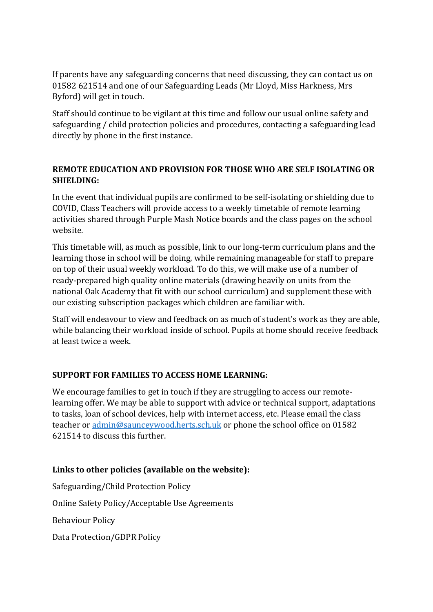If parents have any safeguarding concerns that need discussing, they can contact us on 01582 621514 and one of our Safeguarding Leads (Mr Lloyd, Miss Harkness, Mrs Byford) will get in touch.

Staff should continue to be vigilant at this time and follow our usual online safety and safeguarding / child protection policies and procedures, contacting a safeguarding lead directly by phone in the first instance.

## **REMOTE EDUCATION AND PROVISION FOR THOSE WHO ARE SELF ISOLATING OR SHIELDING:**

In the event that individual pupils are confirmed to be self-isolating or shielding due to COVID, Class Teachers will provide access to a weekly timetable of remote learning activities shared through Purple Mash Notice boards and the class pages on the school website.

This timetable will, as much as possible, link to our long-term curriculum plans and the learning those in school will be doing, while remaining manageable for staff to prepare on top of their usual weekly workload. To do this, we will make use of a number of ready-prepared high quality online materials (drawing heavily on units from the national Oak Academy that fit with our school curriculum) and supplement these with our existing subscription packages which children are familiar with.

Staff will endeavour to view and feedback on as much of student's work as they are able, while balancing their workload inside of school. Pupils at home should receive feedback at least twice a week.

## **SUPPORT FOR FAMILIES TO ACCESS HOME LEARNING:**

We encourage families to get in touch if they are struggling to access our remotelearning offer. We may be able to support with advice or technical support, adaptations to tasks, loan of school devices, help with internet access, etc. Please email the class teacher or [admin@saunceywood.herts.sch.uk](mailto:admin@saunceywood.herts.sch.uk) or phone the school office on 01582 621514 to discuss this further.

## **Links to other policies (available on the website):**

Safeguarding/Child Protection Policy Online Safety Policy/Acceptable Use Agreements Behaviour Policy Data Protection/GDPR Policy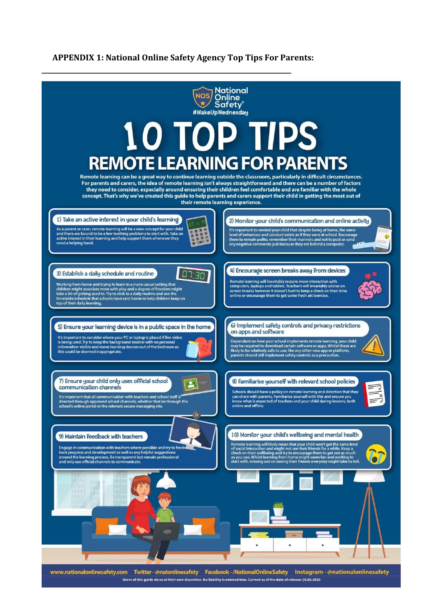#### **APPENDIX 1: National Online Safety Agency Top Tips For Parents:**



Users of this guide do so at their own discretion. No liability is entered into. Current as of the date of release: 20.03.2020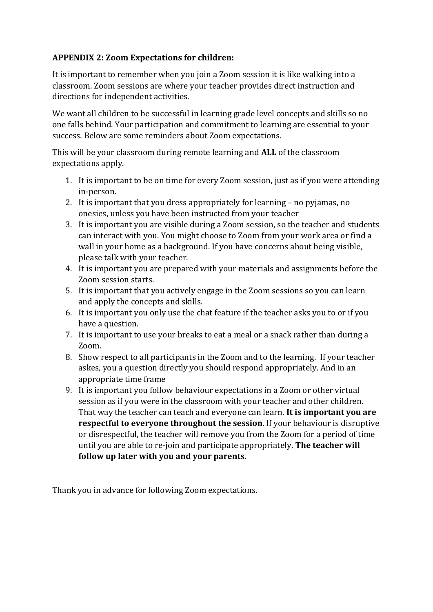## **APPENDIX 2: Zoom Expectations for children:**

It is important to remember when you join a Zoom session it is like walking into a classroom. Zoom sessions are where your teacher provides direct instruction and directions for independent activities.

We want all children to be successful in learning grade level concepts and skills so no one falls behind. Your participation and commitment to learning are essential to your success. Below are some reminders about Zoom expectations.

This will be your classroom during remote learning and **ALL** of the classroom expectations apply.

- 1. It is important to be on time for every Zoom session, just as if you were attending in-person.
- 2. It is important that you dress appropriately for learning no pyjamas, no onesies, unless you have been instructed from your teacher
- 3. It is important you are visible during a Zoom session, so the teacher and students can interact with you. You might choose to Zoom from your work area or find a wall in your home as a background. If you have concerns about being visible, please talk with your teacher.
- 4. It is important you are prepared with your materials and assignments before the Zoom session starts.
- 5. It is important that you actively engage in the Zoom sessions so you can learn and apply the concepts and skills.
- 6. It is important you only use the chat feature if the teacher asks you to or if you have a question.
- 7. It is important to use your breaks to eat a meal or a snack rather than during a Zoom.
- 8. Show respect to all participants in the Zoom and to the learning. If your teacher askes, you a question directly you should respond appropriately. And in an appropriate time frame
- 9. It is important you follow behaviour expectations in a Zoom or other virtual session as if you were in the classroom with your teacher and other children. That way the teacher can teach and everyone can learn. **It is important you are respectful to everyone throughout the session**. If your behaviour is disruptive or disrespectful, the teacher will remove you from the Zoom for a period of time until you are able to re-join and participate appropriately. **The teacher will follow up later with you and your parents.**

Thank you in advance for following Zoom expectations.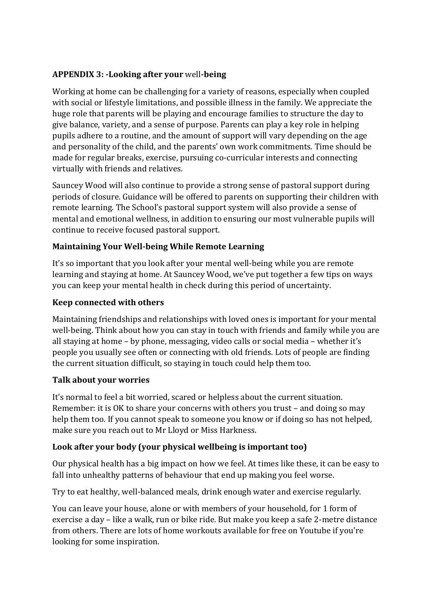## **APPENDIX 3: -Looking after your** well**-being**

Working at home can be challenging for a variety of reasons, especially when coupled with social or lifestyle limitations, and possible illness in the family. We appreciate the huge role that parents will be playing and encourage families to structure the day to give balance, variety, and a sense of purpose. Parents can play a key role in helping pupils adhere to a routine, and the amount of support will vary depending on the age and personality of the child, and the parents' own work commitments. Time should be made for regular breaks, exercise, pursuing co-curricular interests and connecting virtually with friends and relatives.

Sauncey Wood will also continue to provide a strong sense of pastoral support during periods of closure. Guidance will be offered to parents on supporting their children with remote learning. The School's pastoral support system will also provide a sense of mental and emotional wellness, in addition to ensuring our most vulnerable pupils will continue to receive focused pastoral support.

## **Maintaining Your Well-being While Remote Learning**

It's so important that you look after your mental well-being while you are remote learning and staying at home. At Sauncey Wood, we've put together a few tips on ways you can keep your mental health in check during this period of uncertainty.

## **Keep connected with others**

Maintaining friendships and relationships with loved ones is important for your mental well-being. Think about how you can stay in touch with friends and family while you are all staying at home – by phone, messaging, video calls or social media – whether it's people you usually see often or connecting with old friends. Lots of people are finding the current situation difficult, so staying in touch could help them too.

## **Talk about your worries**

It's normal to feel a bit worried, scared or helpless about the current situation. Remember: it is OK to share your concerns with others you trust – and doing so may help them too. If you cannot speak to someone you know or if doing so has not helped, make sure you reach out to Mr Lloyd or Miss Harkness.

## **Look after your body (your physical wellbeing is important too)**

Our physical health has a big impact on how we feel. At times like these, it can be easy to fall into unhealthy patterns of behaviour that end up making you feel worse.

Try to eat healthy, well-balanced meals, drink enough water and exercise regularly.

You can leave your house, alone or with members of your household, for 1 form of exercise a day – like a walk, run or bike ride. But make you keep a safe 2-metre distance from others. There are lots of home workouts available for free on Youtube if you're looking for some inspiration.